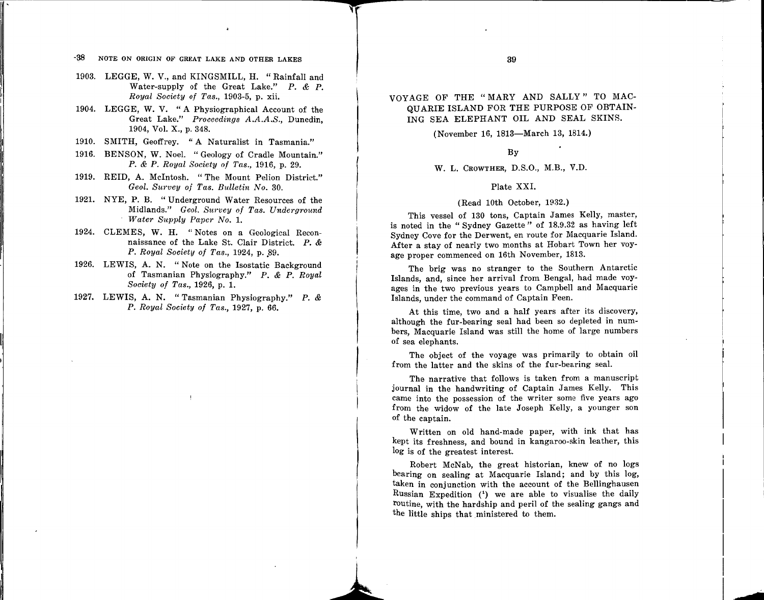## VOYAGE OF THE "MARY AND SALLY" TO MAC-QUARIE ISLAND FOR THE PURPOSE OF OBTAIN-ING SEA ELEPHANT OIL AND SEAL SKINS.

(November 16, 1813-March 13, 1814.)

By

### w. L. CROWTHER, D.S.O., M.B., V.D.

#### Plate XXI.

#### (Read lOth October, 1932.)

This vessel of 130 tons, Captain James Kelly, master, is noted in the " Sydney Gazette " of 18.9.32 as having left Sydney Cove for the Derwent, en route for Macquarie Island. After a stay of nearly two months at Hobart Town her voyage proper commenced on 16th November, 1813.

The brig was no stranger to the Southern Antarctic Islands, and, since her arrival from Bengal, had made voyages in the two previous years to Campbell and Macquarie Islands, under the command of Captain Feen.

At this time, two and a half years after its discovery, although the fur-bearing seal had been so depleted in numbers, Macquarie Island was still the home of large numbers of sea elephants.

The object of the voyage was primarily to obtain oil from the latter and the skins of the fur-bearing seal.

The narrative that follows is taken from a manuscript journal in the handwriting of Captain James Kelly. This came into the possession of the writer some five years ago from the widow of the late Joseph Kelly, a younger son of the captain.

Written on old hand-made paper, with ink that has kept its freshness, and bound in kangaroo-skin leather, this log is of the greatest interest.

Robert McNab, the great historian, knew of no logs bearing on sealing at Macquarie Island; and by this log, taken in conjunction with the account of the Bellinghausen Russian Expedition (') we are able to visualise the daily routine, with the hardship and peril of the sealing gangs and the little ships that ministered to them.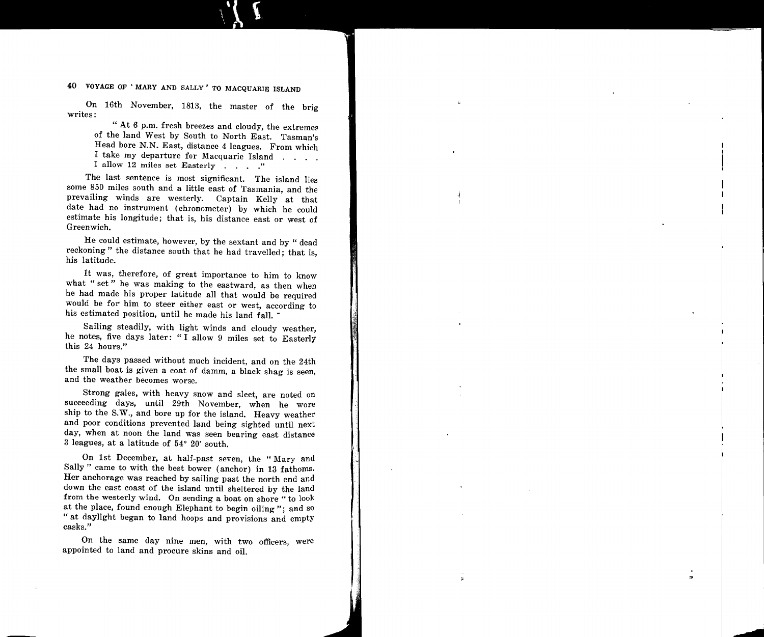40 VOYAGE OF 'MARY AND SALLY' TO MACQUARIE ISLAND

On 16th November, 1813, the master of the brig writes:

" At  $6$  p.m. fresh breezes and cloudy, the extremes of the land West by South to North East. Tasman's Head bore N.N. East, distance 4 leagues. From which I take my departure for Macquarie Island I allow 12 miles set Easterly . . . . "

The last sentence is most significant. The island lies some 850 miles south and a little east of Tasmania, and the prevailing winds are westerly. Captain Kelly at that date had no instrument (chronometer) by which he could estimate his longitude; that is, his distance east or west of Greenwich.

He could estimate, however, by the sextant and by " dead reckoning" the distance south that he had travelled; that is, his latitude.

It was, therefore, of great importance to him to know what "set" he was making to the eastward, as then when he had made his proper latitude all that would be required would be for him to steer either east or west, according to his estimated position, until he made his land fall.

Sailing steadily, with light winds and cloudy weather, he notes, five days later: " I allow 9 miles set to Easterly this 24 hours."

The days passed without much incident, and on the 24th the small boat is given a coat of damm, a black shag is seen, and the weather becomes worse.

Strong gales, with heavy snow and sleet, are noted on succeeding days, until 29th November, when he wore ship to the S.W., and bore up for the island. Heavy weather and poor conditions prevented land being sighted until next day, when at noon the land was seen bearing east distance 3 leagues, at a latitude of 54° 20' south.

On 1st December, at half-past seven, the " Mary and Sally" came to with the best bower (anchor) in 13 fathoms. Her anchorage was reached by sailing past the north end and down the east coast of the island until sheltered by the land from the westerly wind. On sending a boat on shore " to look at the place, found enough Elephant to begin oiling "; and so " at daylight began to land hoops and provisions and empty casks."

On the same day nine men, with two officers, were appointed to land and procure skins and oil.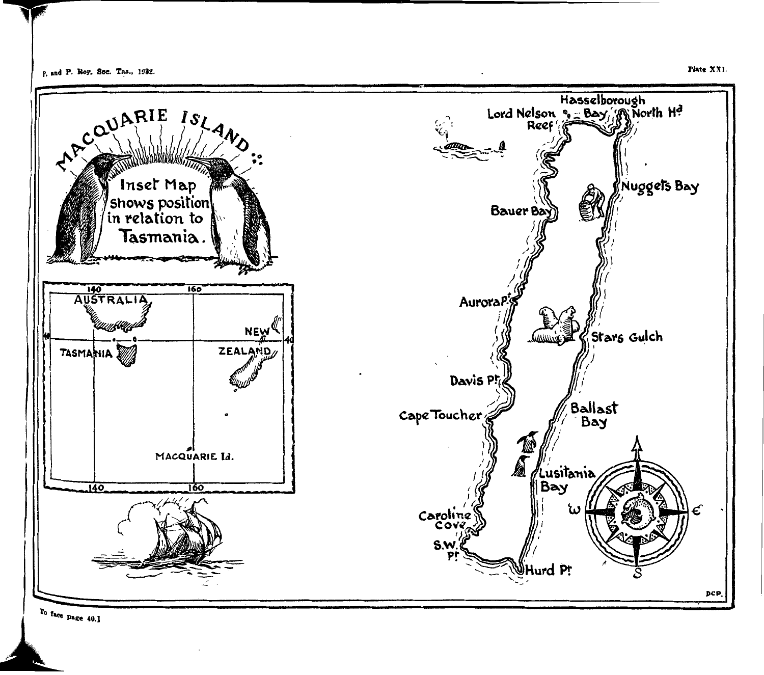

 $T_0$  face page 40.]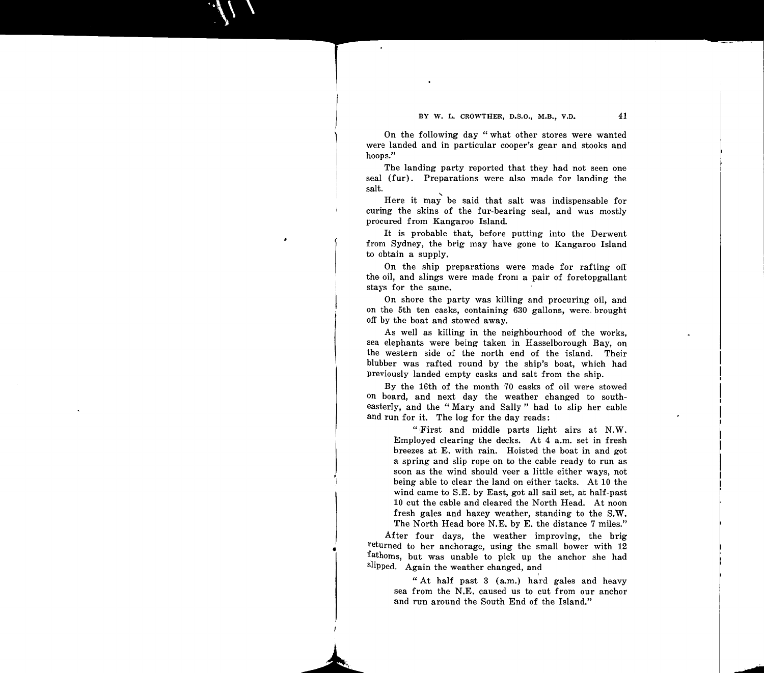On the following day " what other stores were wanted were landed and in particular cooper's gear and stooks and hoops."

The landing party reported that they had not seen one seal (fur). Preparations were also made for landing the salt.

Here it may be said that salt was indispensable for curing the skins of the fur-bearing seal, and was mostly procured from Kangaroo Island.

It is probable that, before putting into the Derwent from Sydney, the brig may have gone to Kangaroo Island to obtain a supply.

On the ship preparations were made for rafting off the oil, and slings were made from a pair of foretopgallant stays for the same.

On shore the party was killing and procuring oil, and on the 5th ten casks, containing 630 gallons, were. brought off by the boat and stowed away.

As well as killing in the neighbourhood of the works, sea elephants were being taken in Hasselborough Bay, on the western side of the north end of the island. Their blubber was rafted round by the ship's boat, which had previously landed empty casks and salt from the ship.

By the 16th of the month 70 casks of oil were stowed on board, and next day the weather changed to southeasterly, and the " Mary and Sally " had to slip her cable and run for it. The log for the day reads:

> ":First and middle parts light airs at N.W. Employed clearing the decks. At 4 a.m. set in fresh breezes at E. with rain. Hoisted the boat in and got a spring and slip rope on to the cable ready to run as soon as the wind should veer a little either ways, not being able to clear the land on either tacks. At 10 the wind came to S.E. by East, got all sail set, at half-past 10 cut the cable and cleared the North Head. At noon fresh gales and hazey weather, standing to the S.W. The North Head bore N.E. by E. the distance 7 miles."

After four days, the weather improving, the brig returned to her anchorage, using the small bower with 12 fathoms, but was unable to pick up the anchor she had slipped. Again the weather changed, and

> "At half past 3 (a.m.) hard gales and heavy sea from the N.E. caused us to cut from our anchor and run around the South End of the Island."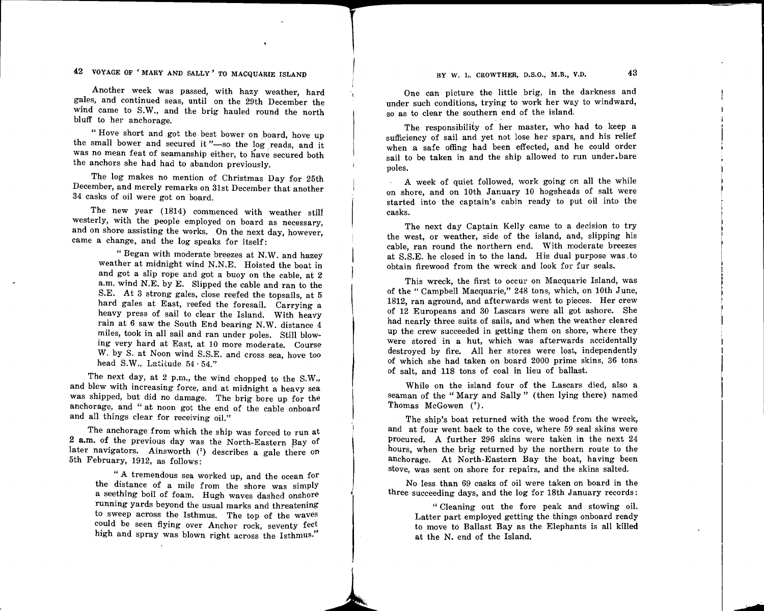BY W. L. CROWTHER, D.S.O., M.B., V.D.  $4\overline{3}$ 

 $\begin{bmatrix} 1 \\ 2 \end{bmatrix}$ 

## 42 VOYAGE OF 'MARY AND SALLY' TO MACQUARIE ISLAND

Another week was passed, with hazy weather, hard gales, and continued seas, until on the 29th December the wind came to S.W., and the brig hauled round the north bluff to her anchorage.

" Hove short and got the best bower on board, hove up the small bower and secured it"-so the log reads, and it was no mean feat of seamanship either, to have secured both the anchors she had had to abandon previously.

The log makes no mention of Christmas Day for 25th December, and merely remarks on 31st December that another 34 casks of oil were got on board.

The new year (1814) commenced with weather stili westerly, with the people employed on board as necessary, and on shore assisting the works. On the next day, however, came a change, and the log speaks for itself:

"Began with moderate breezes at N.W. and hazey weather at midnight wind N.N.E. Hoisted the boat in and got a slip rope and got a buoy on the cable, at 2 a.m. wind N.E. by E. Slipped the cable and ran to the S.E. At 3 strong gales, close reefed the topsails, at 5 hard gales at East, reefed the foresail. Carrying a heavy press of sail to clear the Island. With heavy rain at 6 saw the South End bearing N.W. distance 4 miles, took in all sail and ran under poles. Still blowing very hard at East, at 10 more moderate. Course W. by S. at Noon wind S.S.E. and cross sea, hove too head S.W., Latitude  $54.54$ ."

The next day, at 2 p.m., the wind chopped to the S.W., and blew with increasing force, and at midnight a heavy sea was shipped, but did no damage. The brig bore up for the anchorage, and " at noon got the end of the cable onboard and all things clear for receiving oil."

The anchorage from which the ship was forced to run at 2 a.m. of the previous day was the North-Eastern Bay of later navigators. Ainsworth  $(2)$  describes a gale there on 5th February, 1912, as follows:

> " A tremendous sea worked up, and the ocean for the distance of a mile from the shore was simply a seething boil of foam. Hugh waves dashed onshore running yards beyond the usual marks and threatening to sweep across the Isthmus. The top of the waves could be seen flying over Anchor rock, seventy feet high and spray was blown right across the Isthmus."

One can picture the little brig, in the darkness and under such conditions, trying to work her way to windward, so as to clear the southern end of the island.

The responsibility of her master, who had to keep a sufficiency of sail and yet not lose her spars, and his relief when a safe offing had been effected, and he could order sail to be taken in and the ship allowed to run under.bare poles.

A week of quiet followed, work going on all the while on shore, and on lOth January 10 hogsheads of salt were started into the captain's cabin ready to put oil into the casks.

The next day Captain Kelly came to a decision to try the west, or weather, side of the island, and, slipping his cable, ran round the northern end. With moderate breezes at S.S.E. he closed in to the land. His dual purpose was. to obtain firewood from the wreck and look for fur seals.

This wreck, the first to occur on Macquarie Island, was of the "Campbell Macquarie," 248 tons, which, on lOth June, 1812, ran aground, and afterwards went to pieces. Her crew of 12 Europeans and 30 Lascars were all got ashore. She had nearly three suits of sails, and when the weather cleared up the crew succeeded in getting them on shore, where they were stored in a hut, which was afterwards accidentally destroyed by fire. All her stores were lost, independently of which she had taken on board 2000 prime skins, 36 tons of salt, and 118 tons of coal in lieu of ballast.

While on the island four of the Lascars died, also a seaman of the "Mary and Sally" (then lying there) named Thomas McGowen (3).

The ship's boat returned with the wood from the wreck, and at four went back to the cove, where 59 seal skins were procured. A further 296 skins were taken in the next 24 hours, when the brig returned by the northern route to the anchorage. At North-Eastern Bay the boat, having been stove, was sent on shore for repairs, and the skins salted.

No less than 69 casks of oil were taken on board in the three succeeding days, and the log for 18th January records:

> " Cleaning out the fore peak and stowing oil. Latter part employed getting the things onboard ready to move to Ballast Bay as the Elephants is all killed at the N. end of the Island.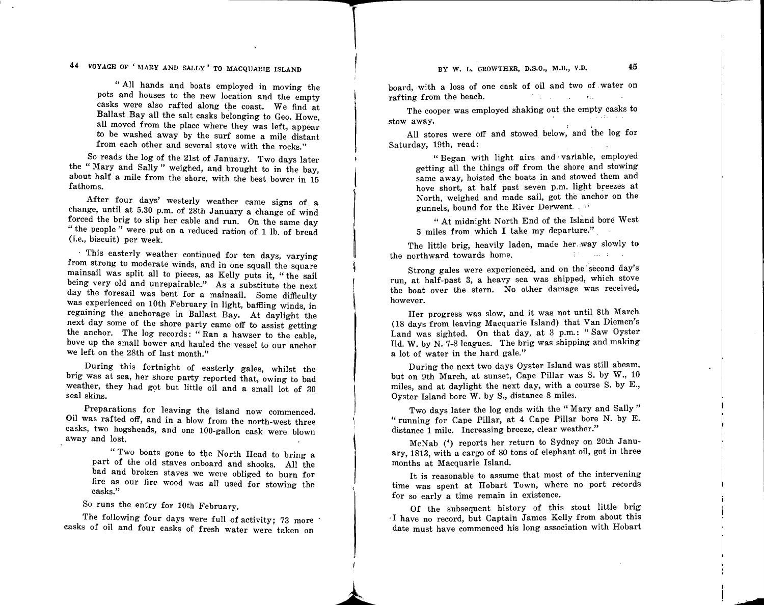BY W. L. CROWTHER, D.S.O., M.B., V.D. 45

44 VOYAGE OF 'MARY AND SALLY' TO MACQUARIE ISLAND

" All hands and boats employed in moving the pots and houses to the new location and the empty casks were also rafted along the coast. We find at Ballast Bay all the salt casks belonging to Geo. Howe, all moved from the place where they was left, appear to be washed away by the surf some a mile distant from each other and several stove with the rocks."

So reads the log of the 21st of January. Two days later the " Mary and Sally " weighed, and brought to in the bay, about half a mile from the shore, with the best bower in 15 fathoms.

After four days' westerly weather came signs of a change, until at 5.30 p.m. of 28th January a change of wind forced the brig to slip her cable and run. On the same day " the people " were put on a reduced ration of 1 lb. of bread (i.e., biscuit) per week.

· This easterly weather continued for ten days, varying from strong to moderate winds, and in one squall the square mainsail was split all to pieces, as Kelly puts it, " the sail being very old and unrepairable." As a substitute the next day the foresail was bent for a mainsail. Some difficulty was experienced on lOth February in light, baffling winds, in regaining the anchorage in Ballast Bay. At daylight the next day some of the shore party came off to assist getting the anchor. The log records: " Ran a hawser to the cable, hove up the small bower and hauled the vessel to our anchor we left on the 28th of last month."

During this fortnight of easterly gales, whilst the brig was at sea, her shore party reported that, owing to bad weather, they had got but little oil and a small lot of 30 seal skins.

Preparations for leaving the island now commenced. Oil was rafted off, and in a blow from the north-west three casks, two hogsheads, and one 100-gallon cask were blown away and lost.

> " Two boats gone to the North Head to bring a part of the old staves onboard and shooks. All the bad and broken staves we were obliged to burn for fire as our fire wood was all used for stowing the casks."

So runs the entry for lOth February.

The following four days were full of activity; 73 more casks of oil and four casks of fresh water were taken on

board, with a loss of one cask of oil and two of. water on and the first property of the rafting from the beach.

The cooper was employed shaking out the empty casks to :stow away.

All stores were off and stowed below, and the log for Saturday, 19th, read:

> " Began with light airs and· variable, employed getting all the things off from the shore and stowing same away, hoisted the boats in and stowed them and hove short, at half past seven p.m. light breezes at North, weighed and made sail, got the anchor on the gunnels, bound for the River Derwent.

> " At midnight North End of the Island bore West 5 miles from which I take my departure." .

The little brig, heavily laden, made her.way slowly to the northward towards home. differences and the con-

Strong gales were experienced, and on the second day's run, at half-past 3, a heavy sea was shipped, which stove the boat over the stern. No other damage was received, however.

Her progress was slow, and it was not until 8th March (18 days from leaving Macquarie Island) that Van Diemen's Land was sighted. On that day, at 3 p.m.: " Saw Oyster Ild. W. by N. 7-8 leagues. The brig was shipping and making a lot of water in the hard gale."

During the next two days Oyster Island was still abeam, but on 9th March, at sunset, Cape Pillar was S. by W., 10 miles, and at daylight the next day, with a course S. by E., Oyster Island bore W. by S., distance 8 miles.

Two days later the log ends with the " Mary and Sally" "running for Cape Pillar, at 4 Cape Pillar bore N. by E. distance 1 mile. Increasing breeze, clear weather."

McNab (4) reports her return to Sydney on 20th January, 1813, with a cargo of 80 tons of elephant oil, got in three months at Macquarie Island.

It is reasonable to assume that most of the intervening time was spent at Hobart Town, where no port records for so early a time remain in existence.

Of the subsequent history of this stout little brig ·I have no record, but Captain James Kelly from about this date must have commenced his long association with Hobart